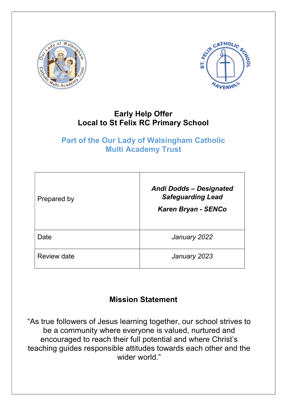



## Early Help Offer Local to St Felix RC Primary School

## Part of the Our Lady of Walsingham Catholic Multi Academy Trust

| Prepared by | <b>Andi Dodds - Designated</b><br><b>Safeguarding Lead</b><br><b>Karen Bryan - SENCo</b> |
|-------------|------------------------------------------------------------------------------------------|
| Date        | January 2022                                                                             |
| Review date | January 2023                                                                             |

# Mission Statement

"As true followers of Jesus learning together, our school strives to be a community where everyone is valued, nurtured and encouraged to reach their full potential and where Christ's teaching guides responsible attitudes towards each other and the wider world."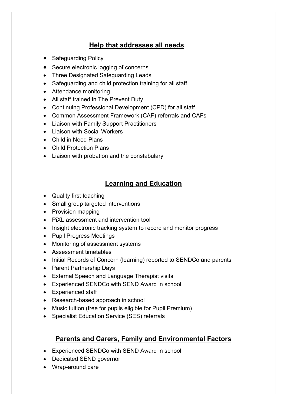### Help that addresses all needs

- Safeguarding Policy
- Secure electronic logging of concerns
- Three Designated Safeguarding Leads
- Safeguarding and child protection training for all staff
- Attendance monitoring
- All staff trained in The Prevent Duty
- Continuing Professional Development (CPD) for all staff
- Common Assessment Framework (CAF) referrals and CAFs
- Liaison with Family Support Practitioners
- Liaison with Social Workers
- Child in Need Plans
- Child Protection Plans
- Liaison with probation and the constabulary

### Learning and Education

- Quality first teaching
- Small group targeted interventions
- Provision mapping
- PiXL assessment and intervention tool
- Insight electronic tracking system to record and monitor progress
- Pupil Progress Meetings
- Monitoring of assessment systems
- Assessment timetables
- Initial Records of Concern (learning) reported to SENDCo and parents
- Parent Partnership Days
- External Speech and Language Therapist visits
- Experienced SENDCo with SEND Award in school
- Experienced staff
- Research-based approach in school
- Music tuition (free for pupils eligible for Pupil Premium)
- Specialist Education Service (SES) referrals

### Parents and Carers, Family and Environmental Factors

- Experienced SENDCo with SEND Award in school
- Dedicated SEND governor
- Wrap-around care